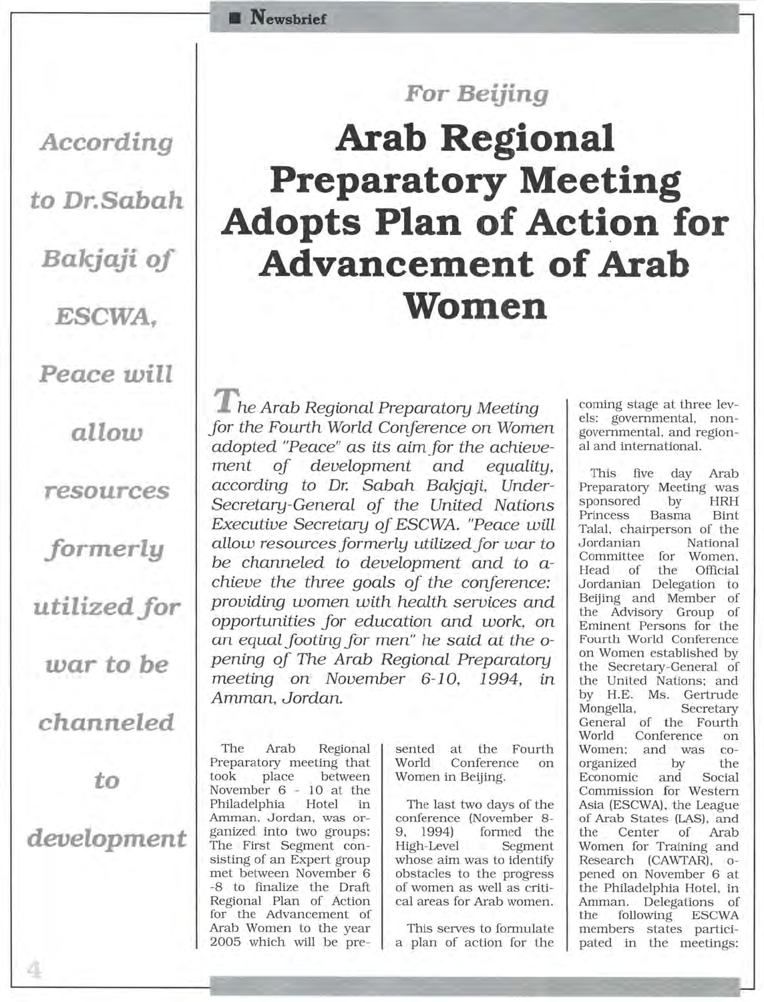## *For Beijing*

## **Arab Regional Preparatory Meeting Adopts Plan of Action for Advancement of Arab Women**

*T he Arab Regional Preparatory Meeting for the Fourth World Conference on Women adopted "Peace" as its aimfor the achievement of development and equality, according to* Dr. *Sabah Bakjaji, Under-Secretary-General of the United Nations Executive Secretary of ESCWA. "Peace will allow resources formerly utilized for war to*  be *channeled to development and to achieve the three goals of the conference: providing women with health services and opportunities for education and work, on an equal footing for men" he said at the* o*pening of The Arab Regional Preparatory meeting on November* 6-10, 1994, *in Amman, Jordan.* 

The Arab Regional Preparatory meeting that took place between November 6 - 10 at the Philadelphia Hotel in Amman, Jordan, was organized into two groups: The First Segment consisting of an Expert group met between November 6 -8 to finalize the Draft Regional Plan of Action for the Advancement of Arab Women to the year 2005 which will be pre-

**• Newsbrlef** 

sented at the Fourth<br>World Conference on Conference on Women in Beijing.

The last two days of the conference (November 8- 9, 1994) formed the High-Level Segment whose aim was to identify obstacles to the progress of women as well as critical areas for Arab women.

This serves to formulate a plan of action for the

coming stage at three levels: governmental, nongovernmental, and regional and international.

This five day Arab Preparatory Meeting was sponsored by HRH Princess Basma Bint Talal, chairperson of the Jordanian National Committee for Women, Head of the Official Jordanian Delegation to Beijing and Member of the Advisory Group of Eminent Persons for the Fourth World Conference on Women established by the Secretary-General of the United Nations; and by H.E. Ms. Gertrude Mongella, Secretary General of the Fourth World Conference on Women; and was coorganized by the Economic and Social Commission for Western Asia (ESCWA), the League of Arab States (LAS), and the Center of Arab Women for Training and Research (CAWTAR), opened on November 6 at the Philadelphia Hotel, in Amman. Delegations of the following ESCWA members states participated in the meetings:

*According*  **to** *Dr.Sabah* 

**Bakjaji** *of* 

*ESCWA,* 

*Peace will* 

*allow* 

*resources* 

*formerly* 

utilized *for* 

*war* **to be** 

*channeled* 

**to** 

*development*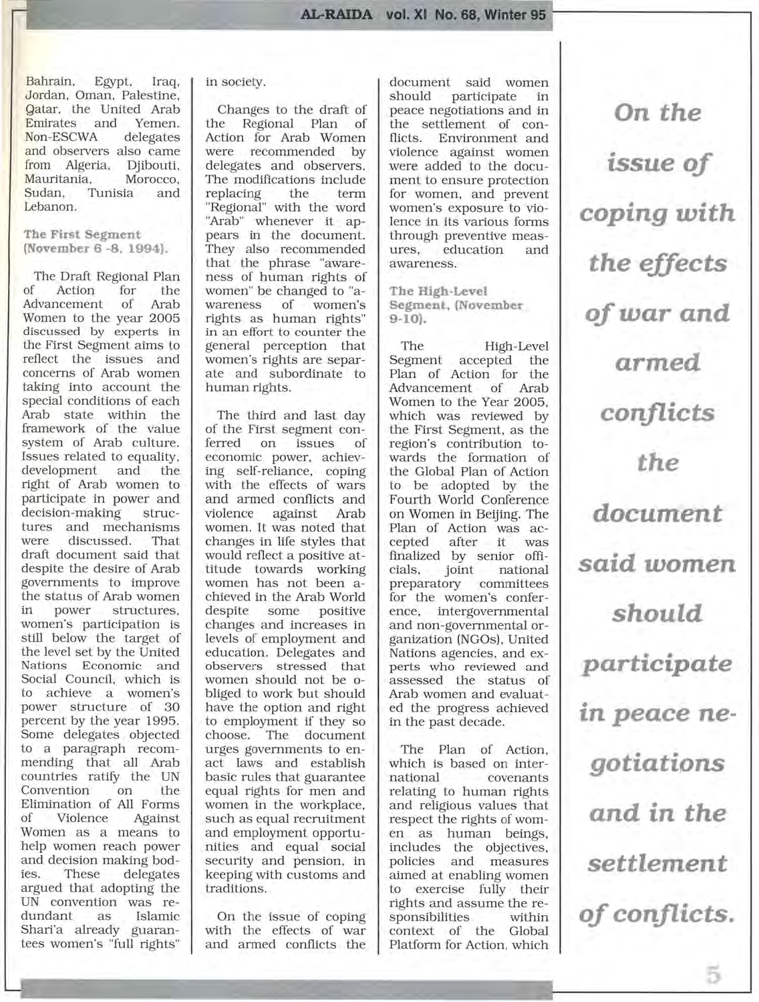Bahrain, Egypt. Iraq, Jordan, Oman, Palestine, <mark>G</mark>atar, the United Arab<br>Emirates and Yemen. Emirates and Yemen.<br>Non-ESCWA delegates Non-ESCWA and observers also came<br>from Algeria, Djibouti, from Algeria, Djibouti,<br>Mauritania, Morocco, Mauritania. Sudan, Tunisia and Lebanon.

**The First Segment (November 6** -8, **1994).** 

The Draft Regional Plan<br>of Action for the Action for the<br>ncement of Arab Advancement Women to the year 2005 discussed by experts in the First Segment aims to reflect the issues and concerns of Arab women taking into account the special conditions of each Arab state within the framework of the value system of Arab culture. Issues related to equality, development and the right of Arab women to participate in power and decision-making structures and mechanisms were discussed. That draft document said that despite the desire of Arab governments to improve the status of Arab women<br>in power structures. structures. women's participation is still below the target of the level set by the United Nations Economic and Social Council, which is to achieve a women's power structure of 30 percent by the year 1995. Some delegates objected to a paragraph recommending that all Arab countries ratifY the UN Convention on the Elimination of All Forms of Violence Against Women as a means to help women reach power and decision making bodies. These delegates argued that adopting the UN convention was redundant as Islamic Shari'a already guarantees women's "full rights"

## in society.

Changes to the draft of<br>the Regional Plan of Regional Plan of Action for Arab Women were recommended by delegates and observers. The modifications include replacing the term "Regional" with the word "Arab" whenever it appears in the document. They also recommended that the phrase "awareness of human rights of women" be changed to "awomen's rights as human rights" in an effort to counter the general perception that women's rights are separate and subordinate to human rights.

The third and last day of the First segment conissues of economic power, achieving self-reliance, coping with the effects of wars and armed conflicts and against Arab women. It was noted that changes in life styles that would reflect a positive attitude towards working women has not been achieved in the Arab World despite some positive changes and increases in levels of employment and education. Delegates and observers stressed that women should not be obliged to work but should have the option and right to employment if they so choose. The document urges governments to enact laws and establish basic rules that guarantee equal rights for men and women in the workplace, such as equal recruitment and employment opportunities and equal social security and pension, in keeping with customs and traditions.

On the issue of coping with the effects of war and armed conflicts the document said women<br>should participate in participate in peace negotiations and in the settlement of conflicts. Environment and violence against women were added to the document to ensure protection for women, and prevent women's exposure to violence in its various forms through preventive meas-<br>ures, education and education awareness.

**The High-Level Segment. (November 9-10).** 

The High-Level Segment accepted the Plan of Action for the Advancement of Arab Women to the Year 2005, which was reviewed by the First Segment, as the region's contribution towards the formation of the Global Plan of Action to be adopted by the Fourth World Conference on Women in Beijing. The Plan of Action was acafter it was finalized by senior offinational preparatory committees for the women's conference, intergovernmental and non-governmental organization (NGOs). United Nations agencies, and experts who reviewed and assessed the status of Arab women and evaluated the progress achieved in the past decade.

The Plan of Action, which is based on international covenants relating to human rights and religious values that respect the rights of women as human beings, includes the objectives, policies and measures aimed at enabling women to exercise fully their rights and assume the responsibilities within context of the Global Platform for Action, which

**On** *the issue of coping with the effects of war and armed conflicts the document said women should participate*  • **In** *peace negotiations and* **in** *the settlement of conflicts.*